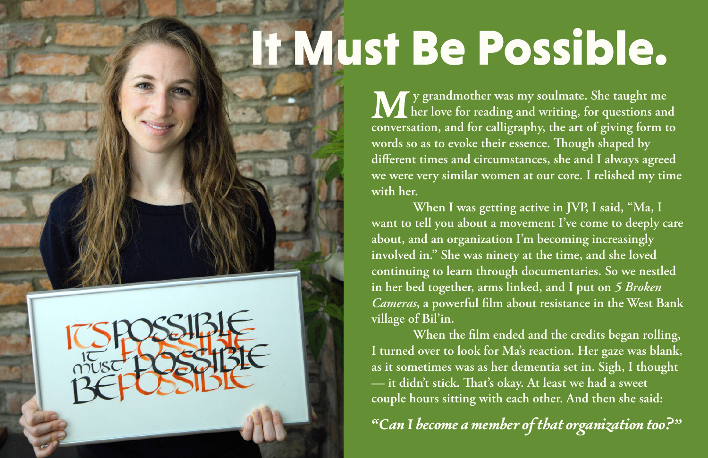## It Must Be Possible.

**y grandmother was my soulmate. She taught me her love for reading and writing, for questions and conversation, and for calligraphy, the art of giving form to**  words so as to evoke their essence. Though shaped by **different times and circumstances, she and I always agreed we were very similar women at our core. I relished my time with her.**

 **When I was getting active in JVP, I said, "Ma, I want to tell you about a movement I've come to deeply care about, and an organization I'm becoming increasingly involved in." She was ninety at the time, and she loved continuing to learn through documentaries. So we nestled in her bed together, arms linked, and I put on** *5 Broken Cameras***, a powerful film about resistance in the West Bank village of Bil'in.**

 **When the film ended and the credits began rolling, I turned over to look for Ma's reaction. Her gaze was blank, as it sometimes was as her dementia set in. Sigh, I thought**   $-$  it didn't stick. That's okay. At least we had a sweet **couple hours sitting with each other. And then she said:**

**"Can I become a member of that organization too?"**